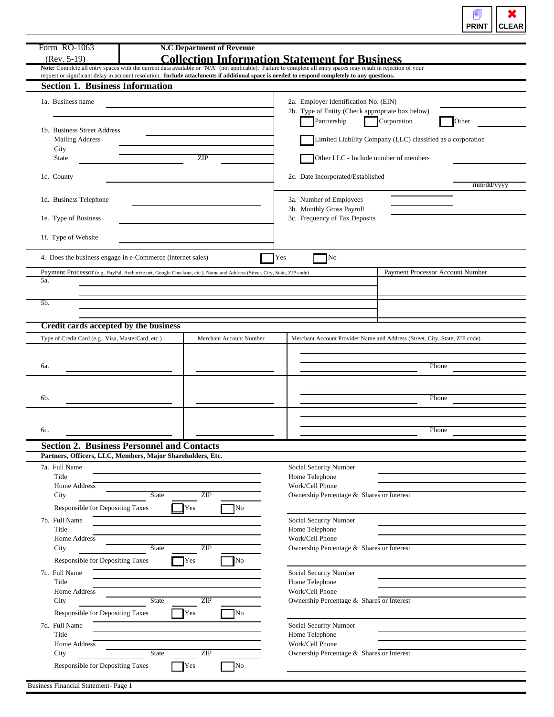| PRI | LEAR |
|-----|------|
| чT  | œ    |

| Form RO-1063<br>$(Rev. 5-19)$                                 | <b>N.C Department of Revenue</b>                                                                                                              | <b>Collection Information Statement for Business</b>                                                                                                            |
|---------------------------------------------------------------|-----------------------------------------------------------------------------------------------------------------------------------------------|-----------------------------------------------------------------------------------------------------------------------------------------------------------------|
|                                                               |                                                                                                                                               | Note: Complete all entry spaces with the current data available or "N/A" (not applicable). Failure to complete all entry spaces may result in rejection of your |
| <b>Section 1. Business Information</b>                        | request or significant delay in account resolution. Include attachments if additional space is needed to respond completely to any questions. |                                                                                                                                                                 |
| 1a. Business name                                             |                                                                                                                                               | 2a. Employer Identification No. (EIN)                                                                                                                           |
|                                                               |                                                                                                                                               | 2b. Type of Entity (Check appropriate box below)<br>Corporation<br>Partnership<br>Other                                                                         |
| 1b. Business Street Address<br><b>Mailing Address</b><br>City |                                                                                                                                               | Limited Liability Company (LLC) classified as a corporation                                                                                                     |
| <b>State</b>                                                  | <b>ZIP</b>                                                                                                                                    | Other LLC - Include number of members                                                                                                                           |
| 1c. County                                                    |                                                                                                                                               | 2c. Date Incorporated/Established<br>mm/dd/yyyy                                                                                                                 |
| 1d. Business Telephone                                        |                                                                                                                                               | 3a. Number of Employees<br>3b. Monthly Gross Payroll                                                                                                            |
| 1e. Type of Business                                          |                                                                                                                                               | 3c. Frequency of Tax Deposits                                                                                                                                   |
| 1f. Type of Website                                           |                                                                                                                                               |                                                                                                                                                                 |
|                                                               | 4. Does the business engage in e-Commerce (internet sales)                                                                                    | Yes<br>No                                                                                                                                                       |
| 5a.                                                           | Payment Processor (e.g., PayPal, Authorize.net, Google Checkout, etc.), Name and Address (Street, City, State, ZIP code)                      | Payment Processor Account Number                                                                                                                                |
| 5b.                                                           |                                                                                                                                               |                                                                                                                                                                 |
|                                                               |                                                                                                                                               |                                                                                                                                                                 |
| Credit cards accepted by the business                         |                                                                                                                                               |                                                                                                                                                                 |
| Type of Credit Card (e.g., Visa, MasterCard, etc.)            | Merchant Account Number                                                                                                                       | Merchant Account Provider Name and Address (Street, City, State, ZIP code)                                                                                      |
|                                                               |                                                                                                                                               |                                                                                                                                                                 |
| 6a.                                                           |                                                                                                                                               | Phone                                                                                                                                                           |
|                                                               |                                                                                                                                               |                                                                                                                                                                 |
| 6b.                                                           |                                                                                                                                               | Phone                                                                                                                                                           |
|                                                               |                                                                                                                                               |                                                                                                                                                                 |
|                                                               |                                                                                                                                               |                                                                                                                                                                 |
| 6c.                                                           |                                                                                                                                               | Phone                                                                                                                                                           |
|                                                               | <b>Section 2. Business Personnel and Contacts</b>                                                                                             |                                                                                                                                                                 |
|                                                               | Partners, Officers, LLC, Members, Major Shareholders, Etc.                                                                                    |                                                                                                                                                                 |
| 7a. Full Name                                                 |                                                                                                                                               | Social Security Number                                                                                                                                          |
| Title<br>Home Address                                         |                                                                                                                                               | Home Telephone<br>Work/Cell Phone                                                                                                                               |
| City                                                          | ZIP<br><b>State</b>                                                                                                                           | Ownership Percentage & Shares or Interest                                                                                                                       |
| Responsible for Depositing Taxes                              | Yes<br><b>No</b>                                                                                                                              |                                                                                                                                                                 |
| 7b. Full Name                                                 |                                                                                                                                               | Social Security Number                                                                                                                                          |
| Title                                                         |                                                                                                                                               | Home Telephone                                                                                                                                                  |
| Home Address<br>City                                          | ZIP<br><b>State</b>                                                                                                                           | Work/Cell Phone<br>Ownership Percentage & Shares or Interest                                                                                                    |
|                                                               | Yes                                                                                                                                           |                                                                                                                                                                 |
| <b>Responsible for Depositing Taxes</b><br>7c. Full Name      | No                                                                                                                                            |                                                                                                                                                                 |
| Title                                                         |                                                                                                                                               | Social Security Number<br>Home Telephone                                                                                                                        |
| Home Address                                                  |                                                                                                                                               | Work/Cell Phone                                                                                                                                                 |
| City                                                          | ZIP<br>State                                                                                                                                  | Ownership Percentage & Shares or Interest                                                                                                                       |
| Responsible for Depositing Taxes                              | Yes<br><b>No</b>                                                                                                                              |                                                                                                                                                                 |
| 7d. Full Name                                                 |                                                                                                                                               | Social Security Number                                                                                                                                          |
| Title<br>Home Address                                         |                                                                                                                                               | Home Telephone<br>Work/Cell Phone                                                                                                                               |
| City                                                          | ZIP<br><b>State</b>                                                                                                                           | Ownership Percentage & Shares or Interest                                                                                                                       |
| <b>Responsible for Depositing Taxes</b>                       | Yes<br>No                                                                                                                                     |                                                                                                                                                                 |
| Business Financial Statement- Page 1                          |                                                                                                                                               |                                                                                                                                                                 |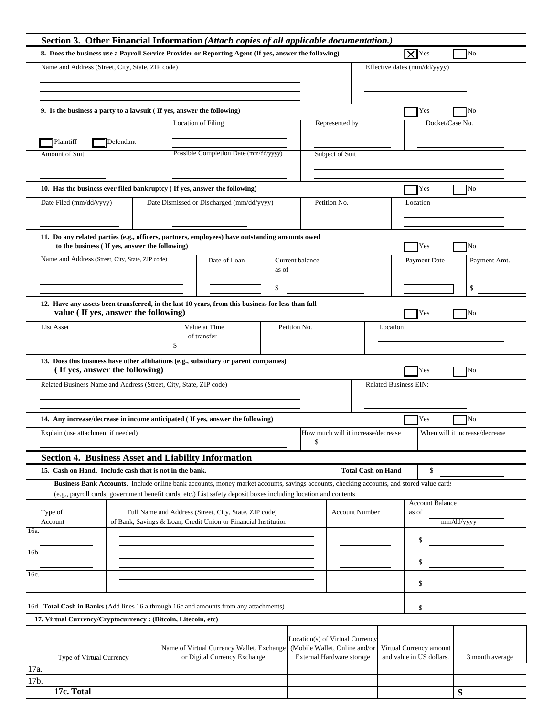| Section 3. Other Financial Information (Attach copies of all applicable documentation.)                                                   |                                                                                                                                          |                          |                                                                  |                           |                              |                        |                                |
|-------------------------------------------------------------------------------------------------------------------------------------------|------------------------------------------------------------------------------------------------------------------------------------------|--------------------------|------------------------------------------------------------------|---------------------------|------------------------------|------------------------|--------------------------------|
| 8. Does the business use a Payroll Service Provider or Reporting Agent (If yes, answer the following)                                     |                                                                                                                                          |                          |                                                                  |                           | $\sqrt{X}$ Yes               |                        | No                             |
| Name and Address (Street, City, State, ZIP code)                                                                                          |                                                                                                                                          |                          |                                                                  |                           | Effective dates (mm/dd/yyyy) |                        |                                |
|                                                                                                                                           |                                                                                                                                          |                          |                                                                  |                           |                              |                        |                                |
|                                                                                                                                           |                                                                                                                                          |                          |                                                                  |                           |                              |                        |                                |
| 9. Is the business a party to a lawsuit (If yes, answer the following)                                                                    |                                                                                                                                          |                          |                                                                  |                           |                              | Yes                    | No                             |
|                                                                                                                                           | <b>Location of Filing</b>                                                                                                                |                          | Represented by                                                   |                           |                              | Docket/Case No.        |                                |
| Plaintiff<br>Defendant                                                                                                                    |                                                                                                                                          |                          |                                                                  |                           |                              |                        |                                |
| Amount of Suit                                                                                                                            | Possible Completion Date (mm/dd/yyyy)                                                                                                    |                          | Subject of Suit                                                  |                           |                              |                        |                                |
|                                                                                                                                           |                                                                                                                                          |                          |                                                                  |                           |                              |                        |                                |
|                                                                                                                                           |                                                                                                                                          |                          |                                                                  |                           |                              |                        |                                |
| 10. Has the business ever filed bankruptcy (If yes, answer the following)                                                                 |                                                                                                                                          |                          |                                                                  |                           |                              | Yes                    | No                             |
| Date Filed (mm/dd/yyyy)                                                                                                                   | Date Dismissed or Discharged (mm/dd/yyyy)                                                                                                |                          | Petition No.                                                     |                           | Location                     |                        |                                |
|                                                                                                                                           |                                                                                                                                          |                          |                                                                  |                           |                              |                        |                                |
| 11. Do any related parties (e.g., officers, partners, employees) have outstanding amounts owed                                            |                                                                                                                                          |                          |                                                                  |                           |                              |                        |                                |
| to the business (If yes, answer the following)                                                                                            |                                                                                                                                          |                          |                                                                  |                           |                              | Yes                    | No                             |
| Name and Address (Street, City, State, ZIP code)                                                                                          | Date of Loan                                                                                                                             | Current balance<br>as of |                                                                  |                           |                              | Payment Date           | Payment Amt.                   |
|                                                                                                                                           |                                                                                                                                          |                          |                                                                  |                           |                              |                        |                                |
|                                                                                                                                           |                                                                                                                                          |                          |                                                                  |                           |                              |                        | $\mathbf S$                    |
| 12. Have any assets been transferred, in the last 10 years, from this business for less than full<br>value (If yes, answer the following) |                                                                                                                                          |                          |                                                                  |                           |                              | Yes                    | No                             |
| <b>List Asset</b>                                                                                                                         | Value at Time                                                                                                                            | Petition No.             |                                                                  |                           | Location                     |                        |                                |
|                                                                                                                                           | of transfer<br>\$                                                                                                                        |                          |                                                                  |                           |                              |                        |                                |
| 13. Does this business have other affiliations (e.g., subsidiary or parent companies)                                                     |                                                                                                                                          |                          |                                                                  |                           |                              |                        |                                |
| (If yes, answer the following)                                                                                                            |                                                                                                                                          |                          |                                                                  |                           |                              | Yes                    | No                             |
| Related Business Name and Address (Street, City, State, ZIP code)                                                                         |                                                                                                                                          |                          |                                                                  |                           | <b>Related Business EIN:</b> |                        |                                |
|                                                                                                                                           |                                                                                                                                          |                          |                                                                  |                           |                              |                        |                                |
| 14. Any increase/decrease in income anticipated (If yes, answer the following)                                                            |                                                                                                                                          |                          |                                                                  |                           |                              | Yes                    | No                             |
| Explain (use attachment if needed)                                                                                                        |                                                                                                                                          |                          | How much will it increase/decrease                               |                           |                              |                        | When will it increase/decrease |
|                                                                                                                                           |                                                                                                                                          |                          | \$                                                               |                           |                              |                        |                                |
| Section 4. Business Asset and Liability Information                                                                                       |                                                                                                                                          |                          |                                                                  |                           |                              |                        |                                |
| 15. Cash on Hand. Include cash that is not in the bank.                                                                                   |                                                                                                                                          |                          |                                                                  | <b>Total Cash on Hand</b> |                              | \$                     |                                |
|                                                                                                                                           | Business Bank Accounts. Include online bank accounts, money market accounts, savings accounts, checking accounts, and stored value card: |                          |                                                                  |                           |                              |                        |                                |
|                                                                                                                                           | (e.g., payroll cards, government benefit cards, etc.) List safety deposit boxes including location and contents                          |                          |                                                                  |                           |                              | <b>Account Balance</b> |                                |
| Type of                                                                                                                                   | Full Name and Address (Street, City, State, ZIP code)                                                                                    |                          |                                                                  | <b>Account Number</b>     | as of                        |                        |                                |
| Account<br>16a.                                                                                                                           | of Bank, Savings & Loan, Credit Union or Financial Institution                                                                           |                          |                                                                  |                           |                              |                        | mm/dd/yyyy                     |
|                                                                                                                                           |                                                                                                                                          |                          |                                                                  |                           |                              | \$                     |                                |
| 16b.                                                                                                                                      |                                                                                                                                          |                          |                                                                  |                           |                              | \$                     |                                |
| 16c.                                                                                                                                      |                                                                                                                                          |                          |                                                                  |                           |                              |                        |                                |
| \$                                                                                                                                        |                                                                                                                                          |                          |                                                                  |                           |                              |                        |                                |
| 16d. Total Cash in Banks (Add lines 16 a through 16c and amounts from any attachments)                                                    |                                                                                                                                          |                          |                                                                  |                           | \$                           |                        |                                |
| 17. Virtual Currency/Cryptocurrency: (Bitcoin, Litecoin, etc)                                                                             |                                                                                                                                          |                          |                                                                  |                           |                              |                        |                                |
|                                                                                                                                           |                                                                                                                                          |                          |                                                                  |                           |                              |                        |                                |
|                                                                                                                                           | Name of Virtual Currency Wallet, Exchange                                                                                                |                          | Location(s) of Virtual Currency<br>(Mobile Wallet, Online and/or |                           | Virtual Currency amount      |                        |                                |
| Type of Virtual Currency                                                                                                                  | or Digital Currency Exchange                                                                                                             |                          | External Hardware storage                                        |                           | and value in US dollars.     |                        | 3 month average                |
| 17a.<br>17b.                                                                                                                              |                                                                                                                                          |                          |                                                                  |                           |                              |                        |                                |
| 17c. Total                                                                                                                                |                                                                                                                                          |                          |                                                                  |                           |                              |                        | \$                             |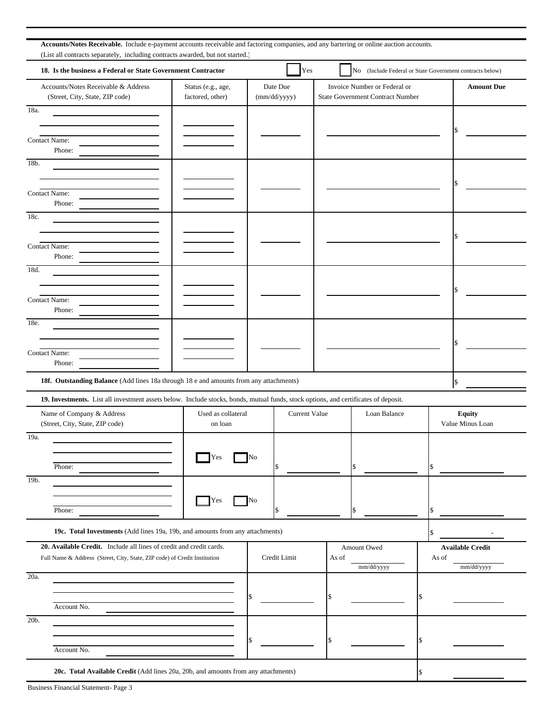| Yes<br>18. Is the business a Federal or State Government Contractor<br>No (Include Federal or State Government contracts below)<br>Date Due<br>Invoice Number or Federal or<br>Accounts/Notes Receivable & Address<br>Status (e.g., age,<br><b>Amount Due</b><br>(Street, City, State, ZIP code)<br>factored, other)<br><b>State Government Contract Number</b><br>(mm/dd/yyyy)<br>18a.<br><b>Contact Name:</b><br>Phone:<br>18b.<br><b>Contact Name:</b><br>Phone:<br>18c.<br><b>Contact Name:</b><br>Phone:<br>18d.<br>Contact Name:<br>Phone:<br>18e.<br>Contact Name:<br>Phone:<br>18f. Outstanding Balance (Add lines 18a through 18 e and amounts from any attachments)<br>\$<br>19. Investments. List all investment assets below. Include stocks, bonds, mutual funds, stock options, and certificates of deposit.<br>Name of Company & Address<br>Used as collateral<br><b>Current Value</b><br>Loan Balance<br><b>Equity</b><br>(Street, City, State, ZIP code)<br>Value Minus Loan<br>on loan<br>19a.<br>No<br>Yes<br>Phone:<br>\$<br>19b.<br>No<br>Yes<br>Phone:<br>19c. Total Investments (Add lines 19a, 19b, and amounts from any attachments)<br>20. Available Credit. Include all lines of credit and credit cards.<br>Amount Owed<br><b>Available Credit</b><br>Credit Limit<br>Full Name & Address (Street, City, State, ZIP code) of Credit Institution<br>As of<br>As of<br>mm/dd/yyyy<br>mm/dd/yyyy<br>20a.<br>\$<br>Account No.<br>20b.<br>Account No. | Accounts/Notes Receivable. Include e-payment accounts receivable and factoring companies, and any bartering or online auction accounts.<br>(List all contracts separately, including contracts awarded, but not started.) |  |  |
|-------------------------------------------------------------------------------------------------------------------------------------------------------------------------------------------------------------------------------------------------------------------------------------------------------------------------------------------------------------------------------------------------------------------------------------------------------------------------------------------------------------------------------------------------------------------------------------------------------------------------------------------------------------------------------------------------------------------------------------------------------------------------------------------------------------------------------------------------------------------------------------------------------------------------------------------------------------------------------------------------------------------------------------------------------------------------------------------------------------------------------------------------------------------------------------------------------------------------------------------------------------------------------------------------------------------------------------------------------------------------------------------------------------------------------------------------------------------------------|---------------------------------------------------------------------------------------------------------------------------------------------------------------------------------------------------------------------------|--|--|
|                                                                                                                                                                                                                                                                                                                                                                                                                                                                                                                                                                                                                                                                                                                                                                                                                                                                                                                                                                                                                                                                                                                                                                                                                                                                                                                                                                                                                                                                               |                                                                                                                                                                                                                           |  |  |
|                                                                                                                                                                                                                                                                                                                                                                                                                                                                                                                                                                                                                                                                                                                                                                                                                                                                                                                                                                                                                                                                                                                                                                                                                                                                                                                                                                                                                                                                               |                                                                                                                                                                                                                           |  |  |
|                                                                                                                                                                                                                                                                                                                                                                                                                                                                                                                                                                                                                                                                                                                                                                                                                                                                                                                                                                                                                                                                                                                                                                                                                                                                                                                                                                                                                                                                               |                                                                                                                                                                                                                           |  |  |
|                                                                                                                                                                                                                                                                                                                                                                                                                                                                                                                                                                                                                                                                                                                                                                                                                                                                                                                                                                                                                                                                                                                                                                                                                                                                                                                                                                                                                                                                               |                                                                                                                                                                                                                           |  |  |
|                                                                                                                                                                                                                                                                                                                                                                                                                                                                                                                                                                                                                                                                                                                                                                                                                                                                                                                                                                                                                                                                                                                                                                                                                                                                                                                                                                                                                                                                               |                                                                                                                                                                                                                           |  |  |
|                                                                                                                                                                                                                                                                                                                                                                                                                                                                                                                                                                                                                                                                                                                                                                                                                                                                                                                                                                                                                                                                                                                                                                                                                                                                                                                                                                                                                                                                               |                                                                                                                                                                                                                           |  |  |
|                                                                                                                                                                                                                                                                                                                                                                                                                                                                                                                                                                                                                                                                                                                                                                                                                                                                                                                                                                                                                                                                                                                                                                                                                                                                                                                                                                                                                                                                               |                                                                                                                                                                                                                           |  |  |
|                                                                                                                                                                                                                                                                                                                                                                                                                                                                                                                                                                                                                                                                                                                                                                                                                                                                                                                                                                                                                                                                                                                                                                                                                                                                                                                                                                                                                                                                               |                                                                                                                                                                                                                           |  |  |
|                                                                                                                                                                                                                                                                                                                                                                                                                                                                                                                                                                                                                                                                                                                                                                                                                                                                                                                                                                                                                                                                                                                                                                                                                                                                                                                                                                                                                                                                               |                                                                                                                                                                                                                           |  |  |
|                                                                                                                                                                                                                                                                                                                                                                                                                                                                                                                                                                                                                                                                                                                                                                                                                                                                                                                                                                                                                                                                                                                                                                                                                                                                                                                                                                                                                                                                               |                                                                                                                                                                                                                           |  |  |
|                                                                                                                                                                                                                                                                                                                                                                                                                                                                                                                                                                                                                                                                                                                                                                                                                                                                                                                                                                                                                                                                                                                                                                                                                                                                                                                                                                                                                                                                               |                                                                                                                                                                                                                           |  |  |
|                                                                                                                                                                                                                                                                                                                                                                                                                                                                                                                                                                                                                                                                                                                                                                                                                                                                                                                                                                                                                                                                                                                                                                                                                                                                                                                                                                                                                                                                               |                                                                                                                                                                                                                           |  |  |
|                                                                                                                                                                                                                                                                                                                                                                                                                                                                                                                                                                                                                                                                                                                                                                                                                                                                                                                                                                                                                                                                                                                                                                                                                                                                                                                                                                                                                                                                               |                                                                                                                                                                                                                           |  |  |
|                                                                                                                                                                                                                                                                                                                                                                                                                                                                                                                                                                                                                                                                                                                                                                                                                                                                                                                                                                                                                                                                                                                                                                                                                                                                                                                                                                                                                                                                               |                                                                                                                                                                                                                           |  |  |
|                                                                                                                                                                                                                                                                                                                                                                                                                                                                                                                                                                                                                                                                                                                                                                                                                                                                                                                                                                                                                                                                                                                                                                                                                                                                                                                                                                                                                                                                               |                                                                                                                                                                                                                           |  |  |
|                                                                                                                                                                                                                                                                                                                                                                                                                                                                                                                                                                                                                                                                                                                                                                                                                                                                                                                                                                                                                                                                                                                                                                                                                                                                                                                                                                                                                                                                               |                                                                                                                                                                                                                           |  |  |
|                                                                                                                                                                                                                                                                                                                                                                                                                                                                                                                                                                                                                                                                                                                                                                                                                                                                                                                                                                                                                                                                                                                                                                                                                                                                                                                                                                                                                                                                               |                                                                                                                                                                                                                           |  |  |
|                                                                                                                                                                                                                                                                                                                                                                                                                                                                                                                                                                                                                                                                                                                                                                                                                                                                                                                                                                                                                                                                                                                                                                                                                                                                                                                                                                                                                                                                               |                                                                                                                                                                                                                           |  |  |
|                                                                                                                                                                                                                                                                                                                                                                                                                                                                                                                                                                                                                                                                                                                                                                                                                                                                                                                                                                                                                                                                                                                                                                                                                                                                                                                                                                                                                                                                               |                                                                                                                                                                                                                           |  |  |
|                                                                                                                                                                                                                                                                                                                                                                                                                                                                                                                                                                                                                                                                                                                                                                                                                                                                                                                                                                                                                                                                                                                                                                                                                                                                                                                                                                                                                                                                               |                                                                                                                                                                                                                           |  |  |
|                                                                                                                                                                                                                                                                                                                                                                                                                                                                                                                                                                                                                                                                                                                                                                                                                                                                                                                                                                                                                                                                                                                                                                                                                                                                                                                                                                                                                                                                               |                                                                                                                                                                                                                           |  |  |
|                                                                                                                                                                                                                                                                                                                                                                                                                                                                                                                                                                                                                                                                                                                                                                                                                                                                                                                                                                                                                                                                                                                                                                                                                                                                                                                                                                                                                                                                               |                                                                                                                                                                                                                           |  |  |
|                                                                                                                                                                                                                                                                                                                                                                                                                                                                                                                                                                                                                                                                                                                                                                                                                                                                                                                                                                                                                                                                                                                                                                                                                                                                                                                                                                                                                                                                               |                                                                                                                                                                                                                           |  |  |
|                                                                                                                                                                                                                                                                                                                                                                                                                                                                                                                                                                                                                                                                                                                                                                                                                                                                                                                                                                                                                                                                                                                                                                                                                                                                                                                                                                                                                                                                               |                                                                                                                                                                                                                           |  |  |
|                                                                                                                                                                                                                                                                                                                                                                                                                                                                                                                                                                                                                                                                                                                                                                                                                                                                                                                                                                                                                                                                                                                                                                                                                                                                                                                                                                                                                                                                               |                                                                                                                                                                                                                           |  |  |
|                                                                                                                                                                                                                                                                                                                                                                                                                                                                                                                                                                                                                                                                                                                                                                                                                                                                                                                                                                                                                                                                                                                                                                                                                                                                                                                                                                                                                                                                               |                                                                                                                                                                                                                           |  |  |
|                                                                                                                                                                                                                                                                                                                                                                                                                                                                                                                                                                                                                                                                                                                                                                                                                                                                                                                                                                                                                                                                                                                                                                                                                                                                                                                                                                                                                                                                               |                                                                                                                                                                                                                           |  |  |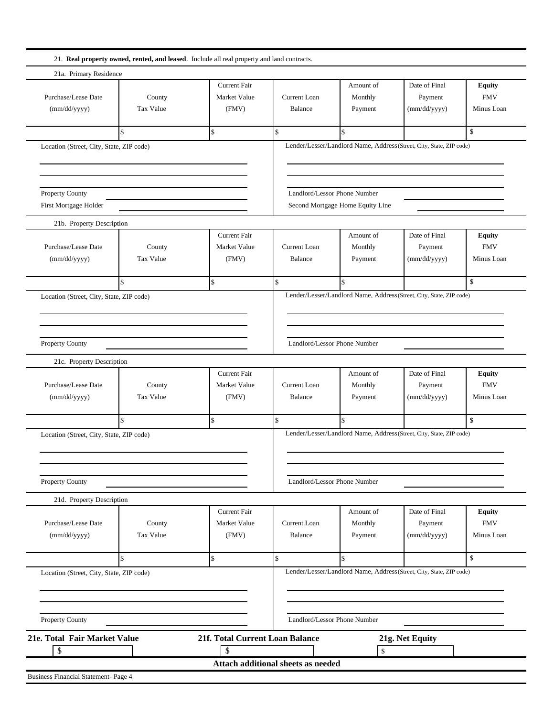| 21a. Primary Residence                                                                                                                                     |                    |                                 |                                    |                                  |                                                                      |               |
|------------------------------------------------------------------------------------------------------------------------------------------------------------|--------------------|---------------------------------|------------------------------------|----------------------------------|----------------------------------------------------------------------|---------------|
|                                                                                                                                                            |                    | <b>Current Fair</b>             |                                    | Amount of                        | Date of Final                                                        | <b>Equity</b> |
| Purchase/Lease Date                                                                                                                                        | County             | Market Value                    | <b>Current Loan</b>                | Monthly                          | Payment                                                              | <b>FMV</b>    |
| (mm/dd/yyyy)                                                                                                                                               | <b>Tax Value</b>   | (FMV)                           | Balance                            | Payment                          | (mm/dd/yyyy)                                                         | Minus Loan    |
|                                                                                                                                                            |                    |                                 |                                    |                                  |                                                                      |               |
|                                                                                                                                                            | ፍ                  | $\hat{\mathbf{S}}$              | \$.                                |                                  |                                                                      | $\mathbb{S}$  |
| Location (Street, City, State, ZIP code)                                                                                                                   |                    |                                 |                                    |                                  | Lender/Lesser/Landlord Name, Address (Street, City, State, ZIP code) |               |
|                                                                                                                                                            |                    |                                 |                                    |                                  |                                                                      |               |
|                                                                                                                                                            |                    |                                 |                                    |                                  |                                                                      |               |
| Property County                                                                                                                                            |                    |                                 |                                    | Landlord/Lessor Phone Number     |                                                                      |               |
| First Mortgage Holder                                                                                                                                      |                    |                                 |                                    | Second Mortgage Home Equity Line |                                                                      |               |
| 21b. Property Description                                                                                                                                  |                    |                                 |                                    |                                  |                                                                      |               |
|                                                                                                                                                            |                    | <b>Current Fair</b>             |                                    | Amount of                        | Date of Final                                                        | <b>Equity</b> |
| Purchase/Lease Date                                                                                                                                        | County             | Market Value                    | Current Loan                       | Monthly                          | Payment                                                              | <b>FMV</b>    |
| (mm/dd/yyyy)                                                                                                                                               | Tax Value          | (FMV)                           | Balance                            | Payment                          | (mm/dd/yyyy)                                                         | Minus Loan    |
|                                                                                                                                                            |                    |                                 |                                    |                                  |                                                                      |               |
|                                                                                                                                                            | $\mathbf{\hat{s}}$ | $\mathbf S$                     | $\mathbb{S}$                       | $\mathbf{\hat{S}}$               |                                                                      | $\mathbb{S}$  |
| Location (Street, City, State, ZIP code)                                                                                                                   |                    |                                 |                                    |                                  | Lender/Lesser/Landlord Name, Address (Street, City, State, ZIP code) |               |
|                                                                                                                                                            |                    |                                 |                                    |                                  |                                                                      |               |
|                                                                                                                                                            |                    |                                 |                                    |                                  |                                                                      |               |
|                                                                                                                                                            |                    |                                 |                                    |                                  |                                                                      |               |
| Property County                                                                                                                                            |                    |                                 |                                    | Landlord/Lessor Phone Number     |                                                                      |               |
| 21c. Property Description                                                                                                                                  |                    |                                 |                                    |                                  |                                                                      |               |
|                                                                                                                                                            |                    | <b>Current Fair</b>             |                                    | Amount of                        | Date of Final                                                        | <b>Equity</b> |
| Purchase/Lease Date                                                                                                                                        | County             | Market Value                    | <b>Current Loan</b>                | Monthly                          | Payment                                                              | <b>FMV</b>    |
| (mm/dd/yyyy)                                                                                                                                               | Tax Value          | (FMV)                           | Balance                            | Payment                          | (mm/dd/yyyy)                                                         | Minus Loan    |
|                                                                                                                                                            |                    |                                 |                                    |                                  |                                                                      |               |
|                                                                                                                                                            | $\mathcal{S}$      | $\mathbf{\hat{s}}$              | $\mathbb{S}$                       | ፍ                                |                                                                      | $\mathcal{S}$ |
|                                                                                                                                                            |                    |                                 |                                    |                                  | Lender/Lesser/Landlord Name, Address (Street, City, State, ZIP code) |               |
|                                                                                                                                                            |                    |                                 |                                    |                                  |                                                                      |               |
|                                                                                                                                                            |                    |                                 |                                    |                                  |                                                                      |               |
|                                                                                                                                                            |                    |                                 |                                    |                                  |                                                                      |               |
|                                                                                                                                                            |                    |                                 |                                    | Landlord/Lessor Phone Number     |                                                                      |               |
| 21d. Property Description                                                                                                                                  |                    |                                 |                                    |                                  |                                                                      |               |
|                                                                                                                                                            |                    | <b>Current Fair</b>             |                                    | Amount of                        | Date of Final                                                        | <b>Equity</b> |
| Purchase/Lease Date                                                                                                                                        | County             | Market Value                    | Current Loan                       | Monthly                          | Payment                                                              | <b>FMV</b>    |
| (mm/dd/yyyy)                                                                                                                                               | Tax Value          | (FMV)                           | Balance                            | Payment                          | (mm/dd/yyyy)                                                         | Minus Loan    |
|                                                                                                                                                            | $\mathcal{S}$      | $\mathbb{S}$                    | \$                                 | ፍ                                |                                                                      | $\mathbb{S}$  |
|                                                                                                                                                            |                    |                                 |                                    |                                  | Lender/Lesser/Landlord Name, Address (Street, City, State, ZIP code) |               |
|                                                                                                                                                            |                    |                                 |                                    |                                  |                                                                      |               |
|                                                                                                                                                            |                    |                                 |                                    |                                  |                                                                      |               |
|                                                                                                                                                            |                    |                                 |                                    |                                  |                                                                      |               |
|                                                                                                                                                            |                    |                                 |                                    | Landlord/Lessor Phone Number     |                                                                      |               |
| Location (Street, City, State, ZIP code)<br>Property County<br>Location (Street, City, State, ZIP code)<br>Property County<br>21e. Total Fair Market Value |                    | 21f. Total Current Loan Balance |                                    |                                  | 21g. Net Equity                                                      |               |
| \$                                                                                                                                                         |                    | \$                              | Attach additional sheets as needed | $\mathbb S$                      |                                                                      |               |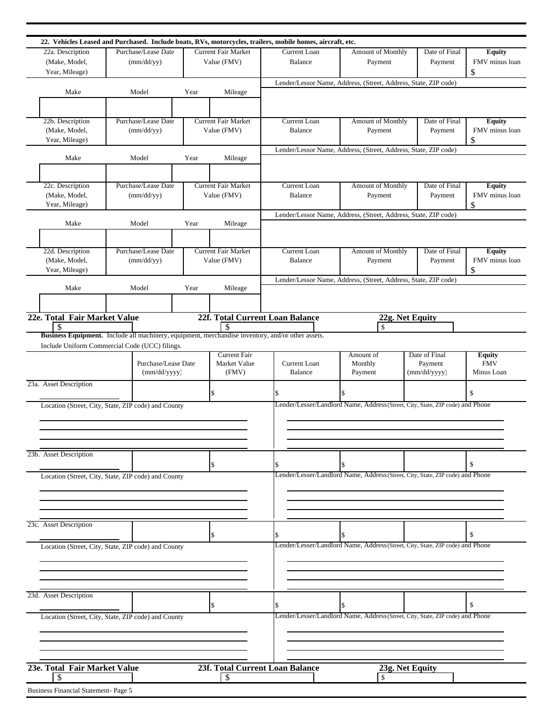| 22. Vehicles Leased and Purchased. Include boats, RVs, motorcycles, trailers, mobile homes, aircraft, etc. |                     |      |                            |                                 |                                                                                |                 |                                 |
|------------------------------------------------------------------------------------------------------------|---------------------|------|----------------------------|---------------------------------|--------------------------------------------------------------------------------|-----------------|---------------------------------|
| 22a. Description                                                                                           | Purchase/Lease Date |      | <b>Current Fair Market</b> | Current Loan                    | Amount of Monthly                                                              | Date of Final   | <b>Equity</b>                   |
| (Make, Model,                                                                                              | (mm/dd/yy)          |      | Value (FMV)                | <b>Balance</b>                  | Payment                                                                        | Payment         | FMV minus loan                  |
| Year, Mileage)                                                                                             |                     |      |                            |                                 |                                                                                |                 | \$                              |
|                                                                                                            |                     |      |                            |                                 | Lender/Lessor Name, Address, (Street, Address, State, ZIP code)                |                 |                                 |
| Make                                                                                                       | Model               | Year | Mileage                    |                                 |                                                                                |                 |                                 |
|                                                                                                            |                     |      |                            |                                 |                                                                                |                 |                                 |
|                                                                                                            |                     |      |                            |                                 |                                                                                |                 |                                 |
| 22b. Description                                                                                           | Purchase/Lease Date |      | <b>Current Fair Market</b> | Current Loan                    | Amount of Monthly                                                              | Date of Final   | Equity                          |
| (Make, Model,                                                                                              | (mm/dd/yy)          |      | Value (FMV)                | <b>Balance</b>                  | Payment                                                                        | Payment         | FMV minus loan                  |
| Year, Mileage)                                                                                             |                     |      |                            |                                 |                                                                                |                 | \$                              |
|                                                                                                            |                     |      |                            |                                 | Lender/Lessor Name, Address, (Street, Address, State, ZIP code)                |                 |                                 |
| Make                                                                                                       | Model               | Year | Mileage                    |                                 |                                                                                |                 |                                 |
|                                                                                                            |                     |      |                            |                                 |                                                                                |                 |                                 |
|                                                                                                            |                     |      |                            |                                 |                                                                                |                 |                                 |
| 22c. Description                                                                                           | Purchase/Lease Date |      | <b>Current Fair Market</b> | Current Loan                    | Amount of Monthly                                                              | Date of Final   | <b>Equity</b><br>FMV minus loan |
| (Make, Model,<br>Year, Mileage)                                                                            | (mm/dd/yy)          |      | Value (FMV)                | Balance                         | Payment                                                                        | Payment         | \$                              |
|                                                                                                            |                     |      |                            |                                 |                                                                                |                 |                                 |
| Make                                                                                                       | Model               | Year | Mileage                    |                                 | Lender/Lessor Name, Address, (Street, Address, State, ZIP code)                |                 |                                 |
|                                                                                                            |                     |      |                            |                                 |                                                                                |                 |                                 |
|                                                                                                            |                     |      |                            |                                 |                                                                                |                 |                                 |
| 22d. Description                                                                                           | Purchase/Lease Date |      | <b>Current Fair Market</b> | Current Loan                    | Amount of Monthly                                                              | Date of Final   | Equity                          |
| (Make, Model,                                                                                              | (mm/dd/yy)          |      | Value (FMV)                | Balance                         | Payment                                                                        | Payment         | FMV minus loan                  |
| Year, Mileage)                                                                                             |                     |      |                            |                                 |                                                                                |                 | \$                              |
|                                                                                                            |                     |      |                            |                                 | Lender/Lessor Name, Address, (Street, Address, State, ZIP code)                |                 |                                 |
| Make                                                                                                       | Model               | Year | Mileage                    |                                 |                                                                                |                 |                                 |
|                                                                                                            |                     |      |                            |                                 |                                                                                |                 |                                 |
|                                                                                                            |                     |      |                            |                                 |                                                                                |                 |                                 |
| 22e. Total Fair Market Value                                                                               |                     |      |                            | 22f. Total Current Loan Balance |                                                                                | 22g. Net Equity |                                 |
|                                                                                                            |                     |      | S                          |                                 | <sup>\$</sup>                                                                  |                 |                                 |
| Business Equipment. Include all machinery, equipment, merchandise inventory, and/or other assets.          |                     |      |                            |                                 |                                                                                |                 |                                 |
| Include Uniform Commercial Code (UCC) filings.                                                             |                     |      | <b>Current Fair</b>        |                                 | Amount of                                                                      | Date of Final   | <b>Equity</b>                   |
|                                                                                                            | Purchase/Lease Date |      | Market Value               | <b>Current Loan</b>             | Monthly                                                                        | Payment         | <b>FMV</b>                      |
|                                                                                                            | (mm/dd/yyyy)        |      | (FMV)                      | <b>Balance</b>                  | Payment                                                                        | (mm/dd/yyyy)    | Minus Loan                      |
| 23a. Asset Description                                                                                     |                     |      |                            |                                 |                                                                                |                 |                                 |
|                                                                                                            |                     |      | \$                         |                                 | \$                                                                             |                 | \$                              |
| Location (Street, City, State, ZIP code) and County                                                        |                     |      |                            |                                 | Lender/Lesser/Landlord Name, Address (Street, City, State, ZIP code) and Phone |                 |                                 |
|                                                                                                            |                     |      |                            |                                 |                                                                                |                 |                                 |
|                                                                                                            |                     |      |                            |                                 |                                                                                |                 |                                 |
|                                                                                                            |                     |      |                            |                                 |                                                                                |                 |                                 |
|                                                                                                            |                     |      |                            |                                 |                                                                                |                 |                                 |
| 23b. Asset Description                                                                                     |                     |      |                            |                                 |                                                                                |                 |                                 |
|                                                                                                            |                     |      | S                          |                                 |                                                                                |                 | \$                              |
| Location (Street, City, State, ZIP code) and County                                                        |                     |      |                            |                                 | Lender/Lesser/Landlord Name, Address (Street, City, State, ZIP code) and Phone |                 |                                 |
|                                                                                                            |                     |      |                            |                                 |                                                                                |                 |                                 |
|                                                                                                            |                     |      |                            |                                 |                                                                                |                 |                                 |
|                                                                                                            |                     |      |                            |                                 |                                                                                |                 |                                 |
|                                                                                                            |                     |      |                            |                                 |                                                                                |                 |                                 |
| 23c. Asset Description                                                                                     |                     |      |                            |                                 |                                                                                |                 |                                 |
|                                                                                                            |                     |      | ß.                         |                                 |                                                                                |                 | \$                              |
| Location (Street, City, State, ZIP code) and County                                                        |                     |      |                            |                                 | Lender/Lesser/Landlord Name, Address (Street, City, State, ZIP code) and Phone |                 |                                 |
|                                                                                                            |                     |      |                            |                                 |                                                                                |                 |                                 |
|                                                                                                            |                     |      |                            |                                 |                                                                                |                 |                                 |
|                                                                                                            |                     |      |                            |                                 |                                                                                |                 |                                 |
|                                                                                                            |                     |      |                            |                                 |                                                                                |                 |                                 |
| 23d. Asset Description                                                                                     |                     |      |                            |                                 |                                                                                |                 |                                 |
|                                                                                                            |                     |      |                            |                                 |                                                                                |                 | \$                              |
| Location (Street, City, State, ZIP code) and County                                                        |                     |      |                            |                                 | Lender/Lesser/Landlord Name, Address (Street, City, State, ZIP code) and Phone |                 |                                 |
|                                                                                                            |                     |      |                            |                                 |                                                                                |                 |                                 |
|                                                                                                            |                     |      |                            |                                 |                                                                                |                 |                                 |
|                                                                                                            |                     |      |                            |                                 |                                                                                |                 |                                 |
|                                                                                                            |                     |      |                            |                                 |                                                                                |                 |                                 |
|                                                                                                            |                     |      |                            |                                 |                                                                                |                 |                                 |
| 23e. Total Fair Market Value<br>-S                                                                         |                     |      | -\$                        | 23f. Total Current Loan Balance |                                                                                | 23g. Net Equity |                                 |
|                                                                                                            |                     |      |                            |                                 |                                                                                |                 |                                 |
| Business Financial Statement- Page 5                                                                       |                     |      |                            |                                 |                                                                                |                 |                                 |